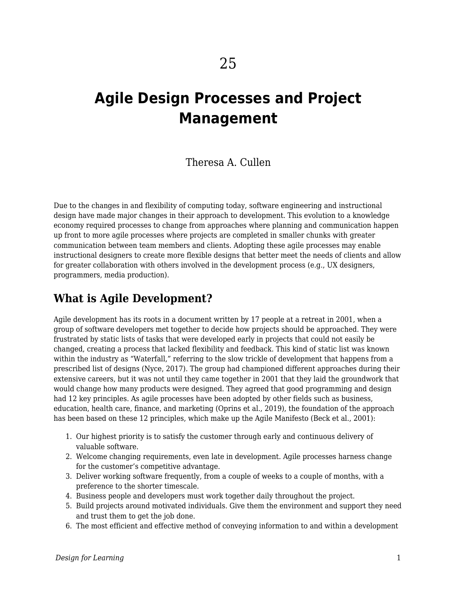# **Agile Design Processes and Project Management**

#### Theresa A. Cullen

Due to the changes in and flexibility of computing today, software engineering and instructional design have made major changes in their approach to development. This evolution to a knowledge economy required processes to change from approaches where planning and communication happen up front to more agile processes where projects are completed in smaller chunks with greater communication between team members and clients. Adopting these agile processes may enable instructional designers to create more flexible designs that better meet the needs of clients and allow for greater collaboration with others involved in the development process (e.g., UX designers, programmers, media production).

## **What is Agile Development?**

Agile development has its roots in a document written by 17 people at a retreat in 2001, when a group of software developers met together to decide how projects should be approached. They were frustrated by static lists of tasks that were developed early in projects that could not easily be changed, creating a process that lacked flexibility and feedback. This kind of static list was known within the industry as "Waterfall," referring to the slow trickle of development that happens from a prescribed list of designs (Nyce, 2017). The group had championed different approaches during their extensive careers, but it was not until they came together in 2001 that they laid the groundwork that would change how many products were designed. They agreed that good programming and design had 12 key principles. As agile processes have been adopted by other fields such as business, education, health care, finance, and marketing (Oprins et al., 2019), the foundation of the approach has been based on these 12 principles, which make up the Agile Manifesto (Beck et al., 2001):

- 1. Our highest priority is to satisfy the customer through early and continuous delivery of valuable software.
- 2. Welcome changing requirements, even late in development. Agile processes harness change for the customer's competitive advantage.
- 3. Deliver working software frequently, from a couple of weeks to a couple of months, with a preference to the shorter timescale.
- 4. Business people and developers must work together daily throughout the project.
- 5. Build projects around motivated individuals. Give them the environment and support they need and trust them to get the job done.
- 6. The most efficient and effective method of conveying information to and within a development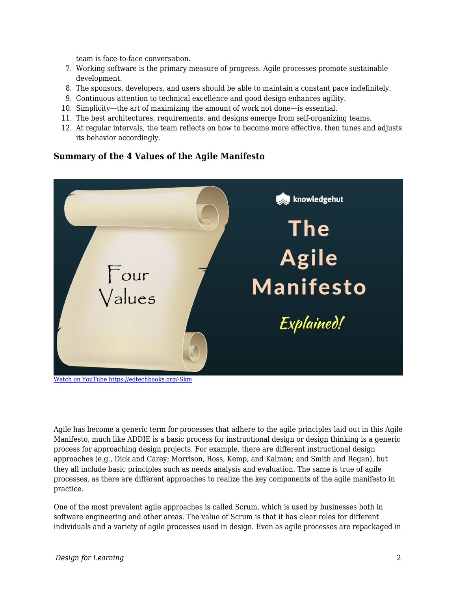team is face-to-face conversation.

- 7. Working software is the primary measure of progress. Agile processes promote sustainable development.
- 8. The sponsors, developers, and users should be able to maintain a constant pace indefinitely.
- 9. Continuous attention to technical excellence and good design enhances agility.
- 10. Simplicity—the art of maximizing the amount of work not done—is essential.
- 11. The best architectures, requirements, and designs emerge from self-organizing teams.
- 12. At regular intervals, the team reflects on how to become more effective, then tunes and adjusts its behavior accordingly.

#### **Summary of the 4 Values of the Agile Manifesto**



[Watch on YouTube https://edtechbooks.org/-Skm](https://www.youtube.com/embed/gf7pBZxOCtY?autoplay=1&rel=0&showinfo=0&modestbranding=1)

Agile has become a generic term for processes that adhere to the agile principles laid out in this Agile Manifesto, much like ADDIE is a basic process for instructional design or design thinking is a generic process for approaching design projects. For example, there are different instructional design approaches (e.g., Dick and Carey; Morrison, Ross, Kemp, and Kalman; and Smith and Regan), but they all include basic principles such as needs analysis and evaluation. The same is true of agile processes, as there are different approaches to realize the key components of the agile manifesto in practice.

One of the most prevalent agile approaches is called Scrum, which is used by businesses both in software engineering and other areas. The value of Scrum is that it has clear roles for different individuals and a variety of agile processes used in design. Even as agile processes are repackaged in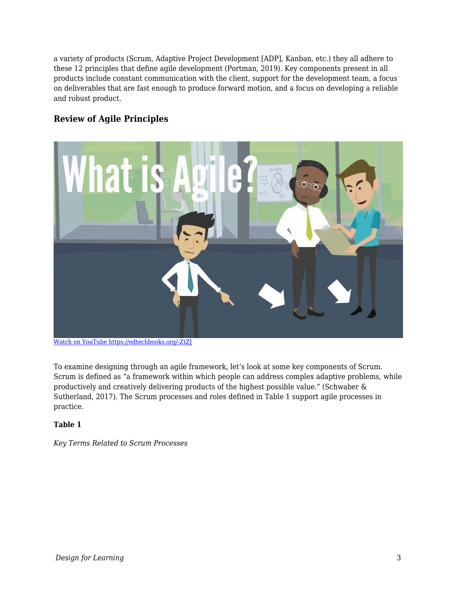a variety of products (Scrum, Adaptive Project Development [ADP], Kanban, etc.) they all adhere to these 12 principles that define agile development (Portman, 2019). Key components present in all products include constant communication with the client, support for the development team, a focus on deliverables that are fast enough to produce forward motion, and a focus on developing a reliable and robust product.

#### **Review of Agile Principles**



[Watch on YouTube https://edtechbooks.org/-ZtZJ](https://www.youtube.com/embed/Z9QbYZh1YXY?autoplay=1&rel=0&showinfo=0&modestbranding=1)

To examine designing through an agile framework, let's look at some key components of Scrum. Scrum is defined as "a framework within which people can address complex adaptive problems, while productively and creatively delivering products of the highest possible value." (Schwaber & Sutherland, 2017). The Scrum processes and roles defined in Table 1 support agile processes in practice.

#### **Table 1**

*Key Terms Related to Scrum Processes*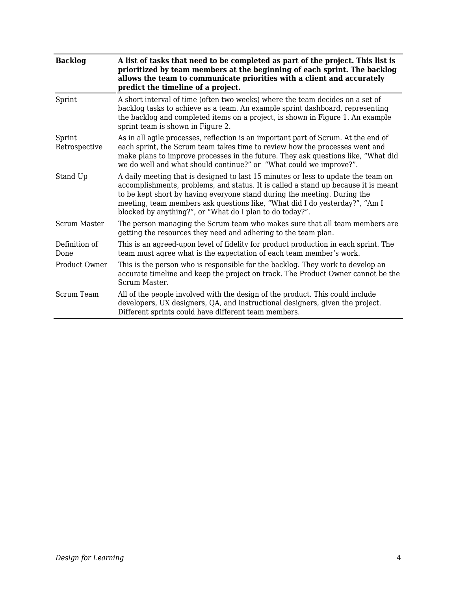| <b>Backlog</b>          | A list of tasks that need to be completed as part of the project. This list is<br>prioritized by team members at the beginning of each sprint. The backlog<br>allows the team to communicate priorities with a client and accurately<br>predict the timeline of a project.                                                                                                                     |  |  |
|-------------------------|------------------------------------------------------------------------------------------------------------------------------------------------------------------------------------------------------------------------------------------------------------------------------------------------------------------------------------------------------------------------------------------------|--|--|
| Sprint                  | A short interval of time (often two weeks) where the team decides on a set of<br>backlog tasks to achieve as a team. An example sprint dashboard, representing<br>the backlog and completed items on a project, is shown in Figure 1. An example<br>sprint team is shown in Figure 2.                                                                                                          |  |  |
| Sprint<br>Retrospective | As in all agile processes, reflection is an important part of Scrum. At the end of<br>each sprint, the Scrum team takes time to review how the processes went and<br>make plans to improve processes in the future. They ask questions like, "What did<br>we do well and what should continue?" or "What could we improve?".                                                                   |  |  |
| Stand Up                | A daily meeting that is designed to last 15 minutes or less to update the team on<br>accomplishments, problems, and status. It is called a stand up because it is meant<br>to be kept short by having everyone stand during the meeting. During the<br>meeting, team members ask questions like, "What did I do yesterday?", "Am I<br>blocked by anything?", or "What do I plan to do today?". |  |  |
| Scrum Master            | The person managing the Scrum team who makes sure that all team members are<br>getting the resources they need and adhering to the team plan.                                                                                                                                                                                                                                                  |  |  |
| Definition of<br>Done   | This is an agreed-upon level of fidelity for product production in each sprint. The<br>team must agree what is the expectation of each team member's work.                                                                                                                                                                                                                                     |  |  |
| Product Owner           | This is the person who is responsible for the backlog. They work to develop an<br>accurate timeline and keep the project on track. The Product Owner cannot be the<br>Scrum Master.                                                                                                                                                                                                            |  |  |
| Scrum Team              | All of the people involved with the design of the product. This could include<br>developers, UX designers, QA, and instructional designers, given the project.<br>Different sprints could have different team members.                                                                                                                                                                         |  |  |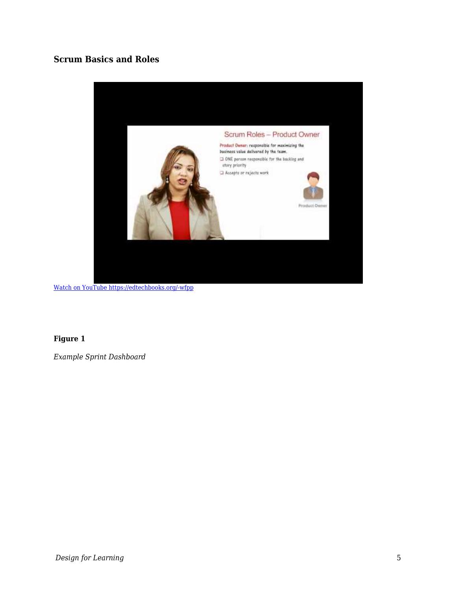### **Scrum Basics and Roles**



[Watch on YouTube https://edtechbooks.org/-wfpp](https://www.youtube.com/embed/aQrsVfjbQZ4?autoplay=1&rel=0&showinfo=0&modestbranding=1)

#### **Figure 1**

*Example Sprint Dashboard*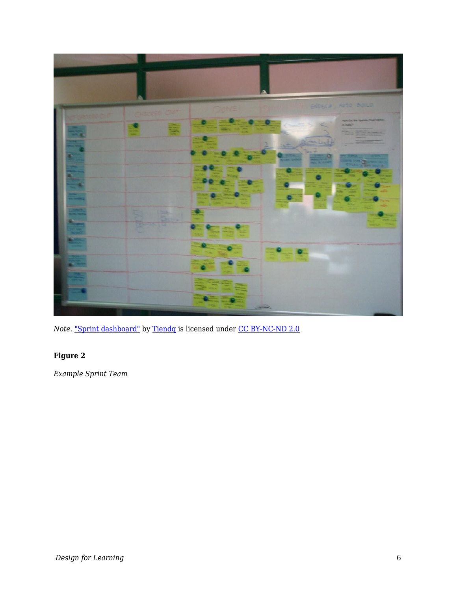

*Note.* ["Sprint dashboard"](https://www.flickr.com/photos/34886431@N00/5755676690) by [Tiendq](https://www.flickr.com/photos/34886431@N00) is licensed under [CC BY-NC-ND 2.0](https://creativecommons.org/licenses/by-nc-nd/2.0/?ref=ccsearch&atype=rich)

## **Figure 2**

*Example Sprint Team*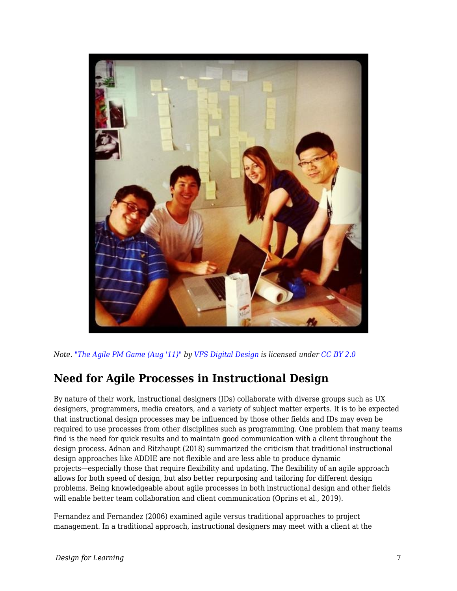

*Note. ["The Agile PM Game \(Aug '11\)"](https://www.flickr.com/photos/58816914@N05/6080263984) by [VFS Digital Design](https://www.flickr.com/photos/58816914@N05) is licensed under [CC BY 2.0](https://creativecommons.org/licenses/by/2.0/?ref=ccsearch&atype=rich)*

## **Need for Agile Processes in Instructional Design**

By nature of their work, instructional designers (IDs) collaborate with diverse groups such as UX designers, programmers, media creators, and a variety of subject matter experts. It is to be expected that instructional design processes may be influenced by those other fields and IDs may even be required to use processes from other disciplines such as programming. One problem that many teams find is the need for quick results and to maintain good communication with a client throughout the design process. Adnan and Ritzhaupt (2018) summarized the criticism that traditional instructional design approaches like ADDIE are not flexible and are less able to produce dynamic projects—especially those that require flexibility and updating. The flexibility of an agile approach allows for both speed of design, but also better repurposing and tailoring for different design problems. Being knowledgeable about agile processes in both instructional design and other fields will enable better team collaboration and client communication (Oprins et al., 2019).

Fernandez and Fernandez (2006) examined agile versus traditional approaches to project management. In a traditional approach, instructional designers may meet with a client at the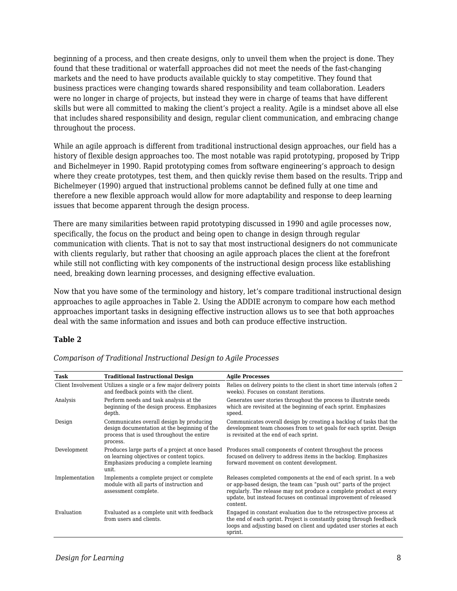beginning of a process, and then create designs, only to unveil them when the project is done. They found that these traditional or waterfall approaches did not meet the needs of the fast-changing markets and the need to have products available quickly to stay competitive. They found that business practices were changing towards shared responsibility and team collaboration. Leaders were no longer in charge of projects, but instead they were in charge of teams that have different skills but were all committed to making the client's project a reality. Agile is a mindset above all else that includes shared responsibility and design, regular client communication, and embracing change throughout the process.

While an agile approach is different from traditional instructional design approaches, our field has a history of flexible design approaches too. The most notable was rapid prototyping, proposed by Tripp and Bichelmeyer in 1990. Rapid prototyping comes from software engineering's approach to design where they create prototypes, test them, and then quickly revise them based on the results. Tripp and Bichelmeyer (1990) argued that instructional problems cannot be defined fully at one time and therefore a new flexible approach would allow for more adaptability and response to deep learning issues that become apparent through the design process.

There are many similarities between rapid prototyping discussed in 1990 and agile processes now, specifically, the focus on the product and being open to change in design through regular communication with clients. That is not to say that most instructional designers do not communicate with clients regularly, but rather that choosing an agile approach places the client at the forefront while still not conflicting with key components of the instructional design process like establishing need, breaking down learning processes, and designing effective evaluation.

Now that you have some of the terminology and history, let's compare traditional instructional design approaches to agile approaches in Table 2. Using the ADDIE acronym to compare how each method approaches important tasks in designing effective instruction allows us to see that both approaches deal with the same information and issues and both can produce effective instruction.

#### **Table 2**

| Task           | <b>Traditional Instructional Design</b>                                                                                                            | <b>Agile Processes</b>                                                                                                                                                                                                                                                                       |
|----------------|----------------------------------------------------------------------------------------------------------------------------------------------------|----------------------------------------------------------------------------------------------------------------------------------------------------------------------------------------------------------------------------------------------------------------------------------------------|
|                | Client Involvement Utilizes a single or a few major delivery points<br>and feedback points with the client.                                        | Relies on delivery points to the client in short time intervals (often 2)<br>weeks). Focuses on constant iterations.                                                                                                                                                                         |
| Analysis       | Perform needs and task analysis at the<br>beginning of the design process. Emphasizes<br>depth.                                                    | Generates user stories throughout the process to illustrate needs<br>which are revisited at the beginning of each sprint. Emphasizes<br>speed.                                                                                                                                               |
| Design         | Communicates overall design by producing<br>design documentation at the beginning of the<br>process that is used throughout the entire<br>process. | Communicates overall design by creating a backlog of tasks that the<br>development team chooses from to set goals for each sprint. Design<br>is revisited at the end of each sprint.                                                                                                         |
| Development    | Produces large parts of a project at once based<br>on learning objectives or content topics.<br>Emphasizes producing a complete learning<br>unit.  | Produces small components of content throughout the process<br>focused on delivery to address items in the backlog. Emphasizes<br>forward movement on content development.                                                                                                                   |
| Implementation | Implements a complete project or complete<br>module with all parts of instruction and<br>assessment complete.                                      | Releases completed components at the end of each sprint. In a web<br>or app-based design, the team can "push out" parts of the project<br>regularly. The release may not produce a complete product at every<br>update, but instead focuses on continual improvement of released<br>content. |
| Evaluation     | Evaluated as a complete unit with feedback<br>from users and clients.                                                                              | Engaged in constant evaluation due to the retrospective process at<br>the end of each sprint. Project is constantly going through feedback<br>loops and adjusting based on client and updated user stories at each<br>sprint.                                                                |

*Comparison of Traditional Instructional Design to Agile Processes*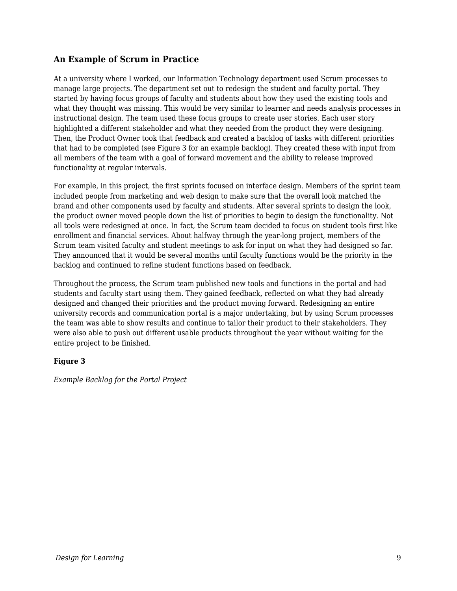#### **An Example of Scrum in Practice**

At a university where I worked, our Information Technology department used Scrum processes to manage large projects. The department set out to redesign the student and faculty portal. They started by having focus groups of faculty and students about how they used the existing tools and what they thought was missing. This would be very similar to learner and needs analysis processes in instructional design. The team used these focus groups to create user stories. Each user story highlighted a different stakeholder and what they needed from the product they were designing. Then, the Product Owner took that feedback and created a backlog of tasks with different priorities that had to be completed (see Figure 3 for an example backlog). They created these with input from all members of the team with a goal of forward movement and the ability to release improved functionality at regular intervals.

For example, in this project, the first sprints focused on interface design. Members of the sprint team included people from marketing and web design to make sure that the overall look matched the brand and other components used by faculty and students. After several sprints to design the look, the product owner moved people down the list of priorities to begin to design the functionality. Not all tools were redesigned at once. In fact, the Scrum team decided to focus on student tools first like enrollment and financial services. About halfway through the year-long project, members of the Scrum team visited faculty and student meetings to ask for input on what they had designed so far. They announced that it would be several months until faculty functions would be the priority in the backlog and continued to refine student functions based on feedback.

Throughout the process, the Scrum team published new tools and functions in the portal and had students and faculty start using them. They gained feedback, reflected on what they had already designed and changed their priorities and the product moving forward. Redesigning an entire university records and communication portal is a major undertaking, but by using Scrum processes the team was able to show results and continue to tailor their product to their stakeholders. They were also able to push out different usable products throughout the year without waiting for the entire project to be finished.

#### **Figure 3**

*Example Backlog for the Portal Project*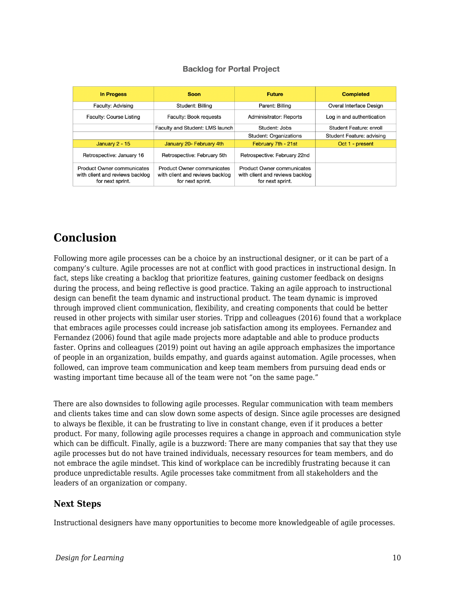#### **Backlog for Portal Project**

| <b>In Progess</b>                                                                        | <b>Soon</b>                                                                              | <b>Future</b>                                                                     | <b>Completed</b>          |
|------------------------------------------------------------------------------------------|------------------------------------------------------------------------------------------|-----------------------------------------------------------------------------------|---------------------------|
| Faculty: Advising                                                                        | Student: Billing                                                                         | Parent: Billing                                                                   | Overal Interface Design   |
| <b>Faculty: Course Listing</b>                                                           | Faculty: Book requests                                                                   | Adminisitrator: Reports                                                           | Log in and authentication |
|                                                                                          | Faculty and Student: LMS launch                                                          | Student: Jobs                                                                     | Student Feature: enroll   |
|                                                                                          |                                                                                          | <b>Student: Organizations</b>                                                     | Student Feature: advising |
| January $2 - 15$                                                                         | January 20- February 4th                                                                 | February 7th - 21st                                                               | Oct 1 - present           |
| Retrospective: January 16                                                                | Retrospective: February 5th                                                              | Retrospective: February 22nd                                                      |                           |
| <b>Product Owner communicates</b><br>with client and reviews backlog<br>for next sprint. | <b>Product Owner communicates</b><br>with client and reviews backlog<br>for next sprint. | Product Owner communicates<br>with client and reviews backlog<br>for next sprint. |                           |

## **Conclusion**

Following more agile processes can be a choice by an instructional designer, or it can be part of a company's culture. Agile processes are not at conflict with good practices in instructional design. In fact, steps like creating a backlog that prioritize features, gaining customer feedback on designs during the process, and being reflective is good practice. Taking an agile approach to instructional design can benefit the team dynamic and instructional product. The team dynamic is improved through improved client communication, flexibility, and creating components that could be better reused in other projects with similar user stories. Tripp and colleagues (2016) found that a workplace that embraces agile processes could increase job satisfaction among its employees. Fernandez and Fernandez (2006) found that agile made projects more adaptable and able to produce products faster. Oprins and colleagues (2019) point out having an agile approach emphasizes the importance of people in an organization, builds empathy, and guards against automation. Agile processes, when followed, can improve team communication and keep team members from pursuing dead ends or wasting important time because all of the team were not "on the same page."

There are also downsides to following agile processes. Regular communication with team members and clients takes time and can slow down some aspects of design. Since agile processes are designed to always be flexible, it can be frustrating to live in constant change, even if it produces a better product. For many, following agile processes requires a change in approach and communication style which can be difficult. Finally, agile is a buzzword: There are many companies that say that they use agile processes but do not have trained individuals, necessary resources for team members, and do not embrace the agile mindset. This kind of workplace can be incredibly frustrating because it can produce unpredictable results. Agile processes take commitment from all stakeholders and the leaders of an organization or company.

#### **Next Steps**

Instructional designers have many opportunities to become more knowledgeable of agile processes.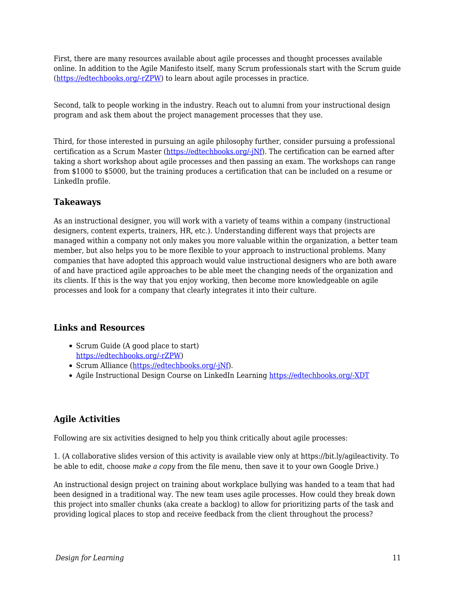First, there are many resources available about agile processes and thought processes available online. In addition to the Agile Manifesto itself, many Scrum professionals start with the Scrum guide ([https://edtechbooks.org/-rZPW\)](https://www.scrumalliance.org/learn-about-scrum/the-scrum-guide) to learn about agile processes in practice.

Second, talk to people working in the industry. Reach out to alumni from your instructional design program and ask them about the project management processes that they use.

Third, for those interested in pursuing an agile philosophy further, consider pursuing a professional certification as a Scrum Master ([https://edtechbooks.org/-jNf](https://www.scrumalliance.org/get-certified)). The certification can be earned after taking a short workshop about agile processes and then passing an exam. The workshops can range from \$1000 to \$5000, but the training produces a certification that can be included on a resume or LinkedIn profile.

#### **Takeaways**

As an instructional designer, you will work with a variety of teams within a company (instructional designers, content experts, trainers, HR, etc.). Understanding different ways that projects are managed within a company not only makes you more valuable within the organization, a better team member, but also helps you to be more flexible to your approach to instructional problems. Many companies that have adopted this approach would value instructional designers who are both aware of and have practiced agile approaches to be able meet the changing needs of the organization and its clients. If this is the way that you enjoy working, then become more knowledgeable on agile processes and look for a company that clearly integrates it into their culture.

#### **Links and Resources**

- Scrum Guide (A good place to start) [https://edtechbooks.org/-rZPW](https://www.scrumalliance.org/learn-about-scrum/the-scrum-guide))
- Scrum Alliance ([https://edtechbooks.org/-jNf](https://www.scrumalliance.org/get-certified)).
- Agile Instructional Design Course on LinkedIn Learning [https://edtechbooks.org/-XDT](https://www.linkedin.com/learning/agile-instructional-design/welcome)

### **Agile Activities**

Following are six activities designed to help you think critically about agile processes:

1. (A collaborative slides version of this activity is available view only at https://bit.ly/agileactivity. To be able to edit, choose *make a copy* from the file menu, then save it to your own Google Drive.)

An instructional design project on training about workplace bullying was handed to a team that had been designed in a traditional way. The new team uses agile processes. How could they break down this project into smaller chunks (aka create a backlog) to allow for prioritizing parts of the task and providing logical places to stop and receive feedback from the client throughout the process?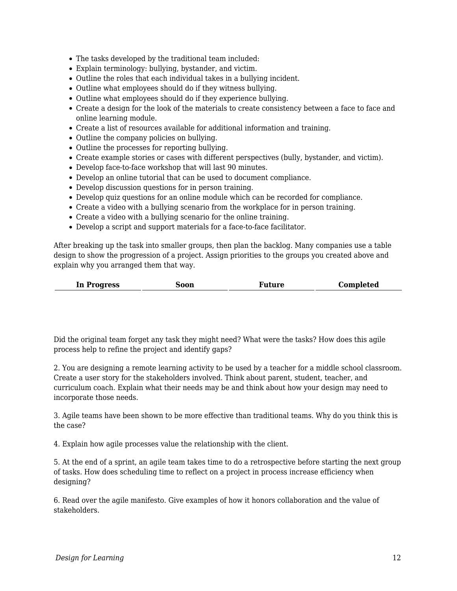- The tasks developed by the traditional team included:
- Explain terminology: bullying, bystander, and victim.
- Outline the roles that each individual takes in a bullying incident.
- Outline what employees should do if they witness bullying.
- Outline what employees should do if they experience bullying.
- Create a design for the look of the materials to create consistency between a face to face and online learning module.
- Create a list of resources available for additional information and training.
- Outline the company policies on bullying.
- Outline the processes for reporting bullying.
- Create example stories or cases with different perspectives (bully, bystander, and victim).
- Develop face-to-face workshop that will last 90 minutes.
- Develop an online tutorial that can be used to document compliance.
- Develop discussion questions for in person training.
- Develop quiz questions for an online module which can be recorded for compliance.
- Create a video with a bullying scenario from the workplace for in person training.
- Create a video with a bullying scenario for the online training.
- Develop a script and support materials for a face-to-face facilitator.

After breaking up the task into smaller groups, then plan the backlog. Many companies use a table design to show the progression of a project. Assign priorities to the groups you created above and explain why you arranged them that way.

| In Progress | Soon | Future | Completed |
|-------------|------|--------|-----------|
|-------------|------|--------|-----------|

Did the original team forget any task they might need? What were the tasks? How does this agile process help to refine the project and identify gaps?

2. You are designing a remote learning activity to be used by a teacher for a middle school classroom. Create a user story for the stakeholders involved. Think about parent, student, teacher, and curriculum coach. Explain what their needs may be and think about how your design may need to incorporate those needs.

3. Agile teams have been shown to be more effective than traditional teams. Why do you think this is the case?

4. Explain how agile processes value the relationship with the client.

5. At the end of a sprint, an agile team takes time to do a retrospective before starting the next group of tasks. How does scheduling time to reflect on a project in process increase efficiency when designing?

6. Read over the agile manifesto. Give examples of how it honors collaboration and the value of stakeholders.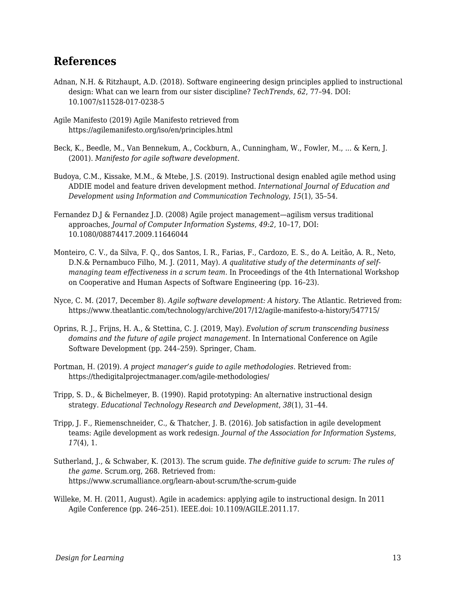## **References**

- Adnan, N.H. & Ritzhaupt, A.D. (2018). Software engineering design principles applied to instructional design: What can we learn from our sister discipline? *TechTrends*, *62*, 77–94. DOI: 10.1007/s11528-017-0238-5
- Agile Manifesto (2019) Agile Manifesto retrieved from https://agilemanifesto.org/iso/en/principles.html
- Beck, K., Beedle, M., Van Bennekum, A., Cockburn, A., Cunningham, W., Fowler, M., ... & Kern, J. (2001). *Manifesto for agile software development*.
- Budoya, C.M., Kissake, M.M., & Mtebe, J.S. (2019). Instructional design enabled agile method using ADDIE model and feature driven development method. *International Journal of Education and Development using Information and Communication Technology*, *15*(1), 35–54.
- Fernandez D.J & Fernandez J.D. (2008) Agile project management—agilism versus traditional approaches, *Journal of Computer Information Systems*, *49:2*, 10–17, DOI: 10.1080/08874417.2009.11646044
- Monteiro, C. V., da Silva, F. Q., dos Santos, I. R., Farias, F., Cardozo, E. S., do A. Leitão, A. R., Neto, D.N.& Pernambuco Filho, M. J. (2011, May). *A qualitative study of the determinants of selfmanaging team effectiveness in a scrum team*. In Proceedings of the 4th International Workshop on Cooperative and Human Aspects of Software Engineering (pp. 16–23).
- Nyce, C. M. (2017, December 8). *Agile software development: A history*. The Atlantic. Retrieved from: https://www.theatlantic.com/technology/archive/2017/12/agile-manifesto-a-history/547715/
- Oprins, R. J., Frijns, H. A., & Stettina, C. J. (2019, May). *Evolution of scrum transcending business domains and the future of agile project management*. In International Conference on Agile Software Development (pp. 244–259). Springer, Cham.
- Portman, H. (2019). *A project manager's guide to agile methodologies*. Retrieved from: https://thedigitalprojectmanager.com/agile-methodologies/
- Tripp, S. D., & Bichelmeyer, B. (1990). Rapid prototyping: An alternative instructional design strategy. *Educational Technology Research and Development*, *38*(1), 31–44.
- Tripp, J. F., Riemenschneider, C., & Thatcher, J. B. (2016). Job satisfaction in agile development teams: Agile development as work redesign. *Journal of the Association for Information Systems*, *17*(4), 1.
- Sutherland, J., & Schwaber, K. (2013). The scrum guide. *The definitive guide to scrum: The rules of the game*. Scrum.org, 268. Retrieved from: https://www.scrumalliance.org/learn-about-scrum/the-scrum-guide
- Willeke, M. H. (2011, August). Agile in academics: applying agile to instructional design. In 2011 Agile Conference (pp. 246–251). IEEE.doi: 10.1109/AGILE.2011.17.